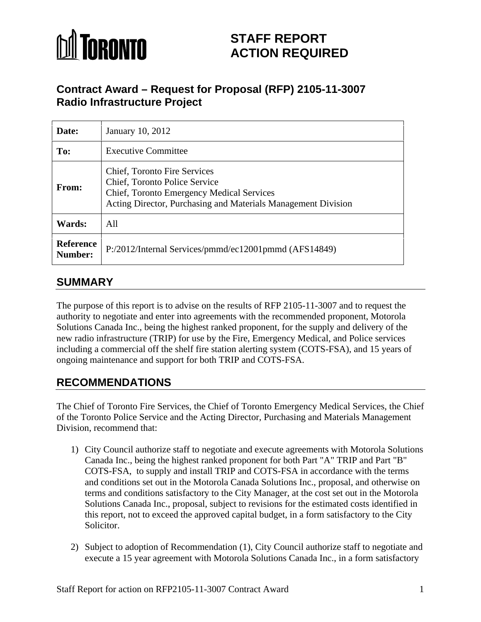

# **STAFF REPORT ACTION REQUIRED**

## **Contract Award – Request for Proposal (RFP) 2105-11-3007 Radio Infrastructure Project**

| Date:         | January 10, 2012                                                                                                                                                            |
|---------------|-----------------------------------------------------------------------------------------------------------------------------------------------------------------------------|
| To:           | <b>Executive Committee</b>                                                                                                                                                  |
| <b>From:</b>  | Chief, Toronto Fire Services<br>Chief, Toronto Police Service<br>Chief, Toronto Emergency Medical Services<br>Acting Director, Purchasing and Materials Management Division |
| <b>Wards:</b> | All                                                                                                                                                                         |
| Number:       | Reference $\vert$ P:/2012/Internal Services/pmmd/ec12001pmmd (AFS14849)                                                                                                     |

## **SUMMARY**

The purpose of this report is to advise on the results of RFP 2105-11-3007 and to request the authority to negotiate and enter into agreements with the recommended proponent, Motorola Solutions Canada Inc., being the highest ranked proponent, for the supply and delivery of the new radio infrastructure (TRIP) for use by the Fire, Emergency Medical, and Police services including a commercial off the shelf fire station alerting system (COTS-FSA), and 15 years of ongoing maintenance and support for both TRIP and COTS-FSA.

## **RECOMMENDATIONS**

The Chief of Toronto Fire Services, the Chief of Toronto Emergency Medical Services, the Chief of the Toronto Police Service and the Acting Director, Purchasing and Materials Management Division, recommend that:

- 1) City Council authorize staff to negotiate and execute agreements with Motorola Solutions Canada Inc., being the highest ranked proponent for both Part "A" TRIP and Part "B" COTS-FSA, to supply and install TRIP and COTS-FSA in accordance with the terms and conditions set out in the Motorola Canada Solutions Inc., proposal, and otherwise on terms and conditions satisfactory to the City Manager, at the cost set out in the Motorola Solutions Canada Inc., proposal, subject to revisions for the estimated costs identified in this report, not to exceed the approved capital budget, in a form satisfactory to the City Solicitor.
- 2) Subject to adoption of Recommendation (1), City Council authorize staff to negotiate and execute a 15 year agreement with Motorola Solutions Canada Inc., in a form satisfactory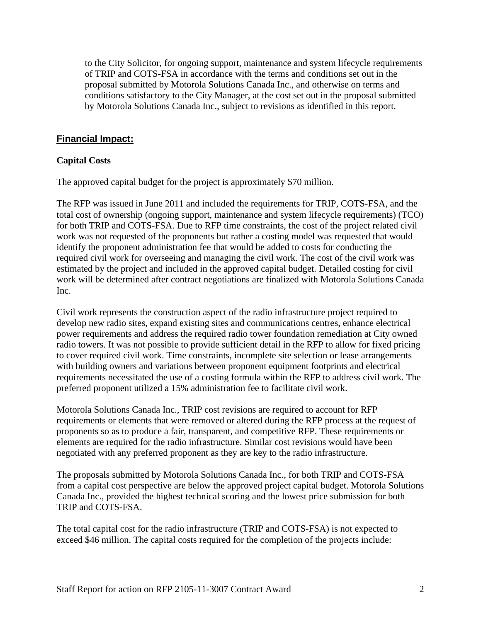to the City Solicitor, for ongoing support, maintenance and system lifecycle requirements of TRIP and COTS-FSA in accordance with the terms and conditions set out in the proposal submitted by Motorola Solutions Canada Inc., and otherwise on terms and conditions satisfactory to the City Manager, at the cost set out in the proposal submitted by Motorola Solutions Canada Inc., subject to revisions as identified in this report.

#### **Financial Impact:**

#### **Capital Costs**

The approved capital budget for the project is approximately \$70 million.

The RFP was issued in June 2011 and included the requirements for TRIP, COTS-FSA, and the total cost of ownership (ongoing support, maintenance and system lifecycle requirements) (TCO) for both TRIP and COTS-FSA. Due to RFP time constraints, the cost of the project related civil work was not requested of the proponents but rather a costing model was requested that would identify the proponent administration fee that would be added to costs for conducting the required civil work for overseeing and managing the civil work. The cost of the civil work was estimated by the project and included in the approved capital budget. Detailed costing for civil work will be determined after contract negotiations are finalized with Motorola Solutions Canada Inc.

Civil work represents the construction aspect of the radio infrastructure project required to develop new radio sites, expand existing sites and communications centres, enhance electrical power requirements and address the required radio tower foundation remediation at City owned radio towers. It was not possible to provide sufficient detail in the RFP to allow for fixed pricing to cover required civil work. Time constraints, incomplete site selection or lease arrangements with building owners and variations between proponent equipment footprints and electrical requirements necessitated the use of a costing formula within the RFP to address civil work. The preferred proponent utilized a 15% administration fee to facilitate civil work.

Motorola Solutions Canada Inc., TRIP cost revisions are required to account for RFP requirements or elements that were removed or altered during the RFP process at the request of proponents so as to produce a fair, transparent, and competitive RFP. These requirements or elements are required for the radio infrastructure. Similar cost revisions would have been negotiated with any preferred proponent as they are key to the radio infrastructure.

The proposals submitted by Motorola Solutions Canada Inc., for both TRIP and COTS-FSA from a capital cost perspective are below the approved project capital budget. Motorola Solutions Canada Inc., provided the highest technical scoring and the lowest price submission for both TRIP and COTS-FSA.

The total capital cost for the radio infrastructure (TRIP and COTS-FSA) is not expected to exceed \$46 million. The capital costs required for the completion of the projects include: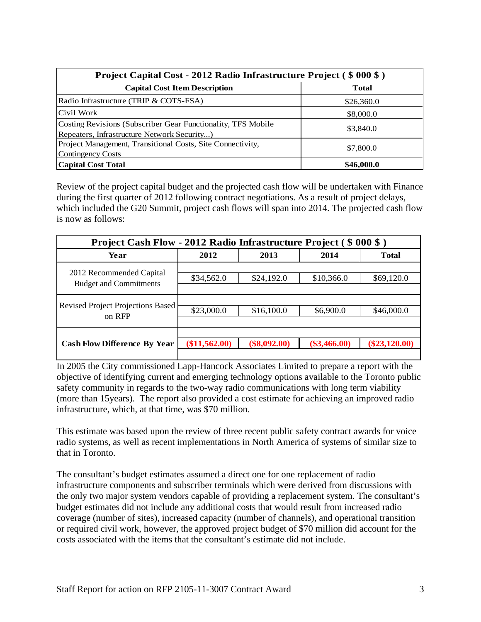| Project Capital Cost - 2012 Radio Infrastructure Project (\$000\$)                                          |            |
|-------------------------------------------------------------------------------------------------------------|------------|
| <b>Capital Cost Item Description</b>                                                                        |            |
| Radio Infrastructure (TRIP & COTS-FSA)                                                                      | \$26,360.0 |
| Civil Work                                                                                                  | \$8,000.0  |
| Costing Revisions (Subscriber Gear Functionality, TFS Mobile<br>Repeaters, Infrastructure Network Security) | \$3,840.0  |
| Project Management, Transitional Costs, Site Connectivity,<br><b>Contingency Costs</b>                      | \$7,800.0  |
| <b>Capital Cost Total</b>                                                                                   | \$46,000.0 |

Review of the project capital budget and the projected cash flow will be undertaken with Finance during the first quarter of 2012 following contract negotiations. As a result of project delays, which included the G20 Summit, project cash flows will span into 2014. The projected cash flow is now as follows:

| <b>Project Cash Flow - 2012 Radio Infrastructure Project (\$000\$)</b> |                              |            |                                               |              |  |  |
|------------------------------------------------------------------------|------------------------------|------------|-----------------------------------------------|--------------|--|--|
| Year                                                                   | 2012                         | 2013       | 2014                                          | <b>Total</b> |  |  |
| 2012 Recommended Capital<br><b>Budget and Commitments</b>              | \$34,562.0                   | \$24,192.0 | \$10,366.0                                    | \$69,120.0   |  |  |
| Revised Project Projections Based<br>on RFP                            | \$23,000.0                   | \$16,100.0 | \$6,900.0                                     | \$46,000.0   |  |  |
| Cash Flow Difference By Year                                           | $\langle 11, 562.00 \rangle$ |            | $(\$8,092.00)$ $(\$3,466.00)$ $(\$23,120.00)$ |              |  |  |

In 2005 the City commissioned Lapp-Hancock Associates Limited to prepare a report with the objective of identifying current and emerging technology options available to the Toronto public safety community in regards to the two-way radio communications with long term viability (more than 15years). The report also provided a cost estimate for achieving an improved radio infrastructure, which, at that time, was \$70 million.

This estimate was based upon the review of three recent public safety contract awards for voice radio systems, as well as recent implementations in North America of systems of similar size to that in Toronto.

The consultant's budget estimates assumed a direct one for one replacement of radio infrastructure components and subscriber terminals which were derived from discussions with the only two major system vendors capable of providing a replacement system. The consultant's budget estimates did not include any additional costs that would result from increased radio coverage (number of sites), increased capacity (number of channels), and operational transition or required civil work, however, the approved project budget of \$70 million did account for the costs associated with the items that the consultant's estimate did not include.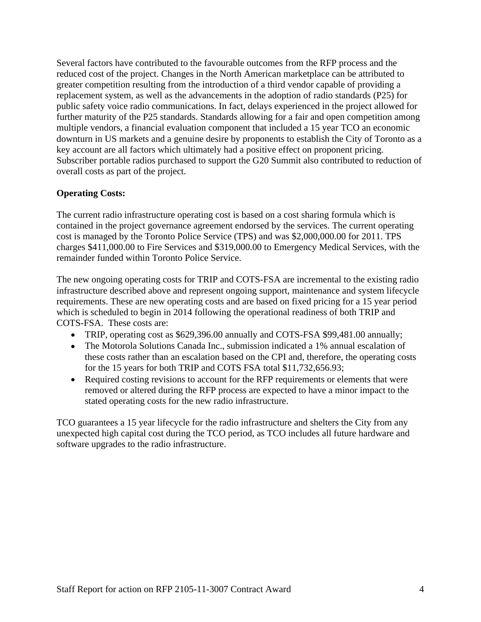Several factors have contributed to the favourable outcomes from the RFP process and the reduced cost of the project. Changes in the North American marketplace can be attributed to greater competition resulting from the introduction of a third vendor capable of providing a replacement system, as well as the advancements in the adoption of radio standards (P25) for public safety voice radio communications. In fact, delays experienced in the project allowed for further maturity of the P25 standards. Standards allowing for a fair and open competition among multiple vendors, a financial evaluation component that included a 15 year TCO an economic downturn in US markets and a genuine desire by proponents to establish the City of Toronto as a key account are all factors which ultimately had a positive effect on proponent pricing. Subscriber portable radios purchased to support the G20 Summit also contributed to reduction of overall costs as part of the project.

#### **Operating Costs:**

The current radio infrastructure operating cost is based on a cost sharing formula which is contained in the project governance agreement endorsed by the services. The current operating cost is managed by the Toronto Police Service (TPS) and was \$2,000,000.00 for 2011. TPS charges \$411,000.00 to Fire Services and \$319,000.00 to Emergency Medical Services, with the remainder funded within Toronto Police Service.

The new ongoing operating costs for TRIP and COTS-FSA are incremental to the existing radio infrastructure described above and represent ongoing support, maintenance and system lifecycle requirements. These are new operating costs and are based on fixed pricing for a 15 year period which is scheduled to begin in 2014 following the operational readiness of both TRIP and COTS-FSA. These costs are:

- TRIP, operating cost as \$629,396.00 annually and COTS-FSA \$99,481.00 annually;
- The Motorola Solutions Canada Inc., submission indicated a 1% annual escalation of these costs rather than an escalation based on the CPI and, therefore, the operating costs for the 15 years for both TRIP and COTS FSA total \$11,732,656.93;
- Required costing revisions to account for the RFP requirements or elements that were removed or altered during the RFP process are expected to have a minor impact to the stated operating costs for the new radio infrastructure. TCO guarantees a 15 year lifecycle for the radio infrastructure and shelters the City from any

unexpected high capital cost during the TCO period, as TCO includes all future hardware and software upgrades to the radio infrastructure.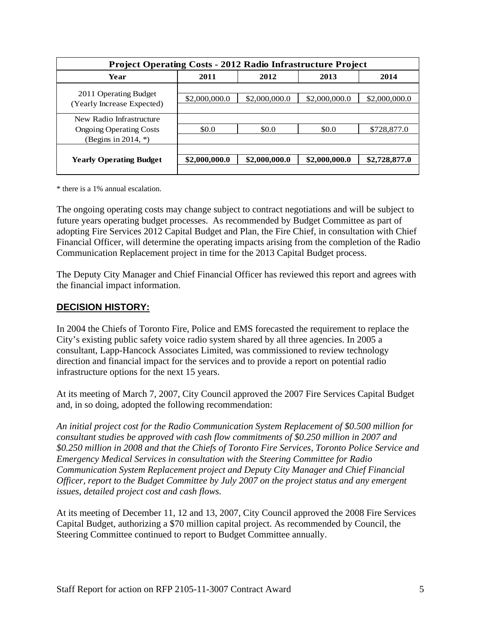| <b>Project Operating Costs - 2012 Radio Infrastructure Project</b>                   |       |                                                            |       |                                                             |  |  |
|--------------------------------------------------------------------------------------|-------|------------------------------------------------------------|-------|-------------------------------------------------------------|--|--|
| Year                                                                                 | 2011  | 2012                                                       | 2013  | 2014                                                        |  |  |
| 2011 Operating Budget<br>(Yearly Increase Expected)                                  |       |                                                            |       | $$2,000,000.0$ $$2,000,000.0$ $$2,000,000.0$ $$2,000,000.0$ |  |  |
| New Radio Infrastructure<br><b>Ongoing Operating Costs</b><br>(Begins in 2014, $*$ ) | \$0.0 | .SO O                                                      | \$0.0 | \$728,877.0                                                 |  |  |
| <b>Yearly Operating Budget</b>                                                       |       | $$2,000,000.0$ $$2,000,000.0$ $$2,000,000.0$ \$2,728,877.0 |       |                                                             |  |  |

\* there is a 1% annual escalation.

The ongoing operating costs may change subject to contract negotiations and will be subject to future years operating budget processes. As recommended by Budget Committee as part of adopting Fire Services 2012 Capital Budget and Plan, the Fire Chief, in consultation with Chief Financial Officer, will determine the operating impacts arising from the completion of the Radio Communication Replacement project in time for the 2013 Capital Budget process.

The Deputy City Manager and Chief Financial Officer has reviewed this report and agrees with the financial impact information.

#### **DECISION HISTORY:**

In 2004 the Chiefs of Toronto Fire, Police and EMS forecasted the requirement to replace the City's existing public safety voice radio system shared by all three agencies. In 2005 a consultant, Lapp-Hancock Associates Limited, was commissioned to review technology direction and financial impact for the services and to provide a report on potential radio infrastructure options for the next 15 years.

At its meeting of March 7, 2007, City Council approved the 2007 Fire Services Capital Budget and, in so doing, adopted the following recommendation:

*An initial project cost for the Radio Communication System Replacement of \$0.500 million for consultant studies be approved with cash flow commitments of \$0.250 million in 2007 and \$0.250 million in 2008 and that the Chiefs of Toronto Fire Services, Toronto Police Service and Emergency Medical Services in consultation with the Steering Committee for Radio Communication System Replacement project and Deputy City Manager and Chief Financial Officer, report to the Budget Committee by July 2007 on the project status and any emergent issues, detailed project cost and cash flows.*

At its meeting of December 11, 12 and 13, 2007, City Council approved the 2008 Fire Services Capital Budget, authorizing a \$70 million capital project. As recommended by Council, the Steering Committee continued to report to Budget Committee annually.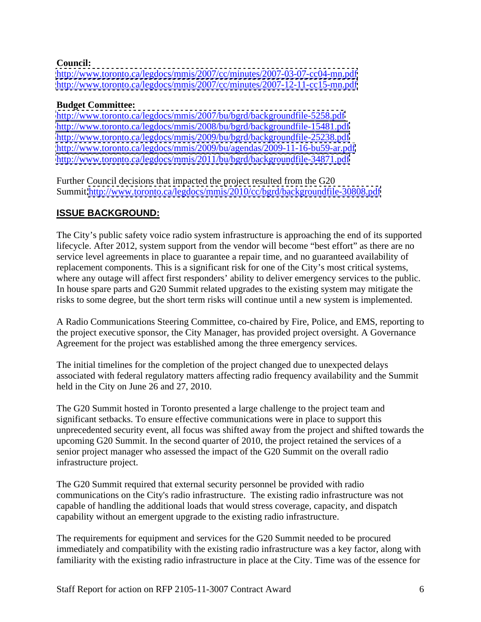#### **Council:**

<http://www.toronto.ca/legdocs/mmis/2007/cc/minutes/2007-03-07-cc04-mn.pdf> <http://www.toronto.ca/legdocs/mmis/2007/cc/minutes/2007-12-11-cc15-mn.pdf>

#### **Budget Committee:**

<http://www.toronto.ca/legdocs/mmis/2007/bu/bgrd/backgroundfile-5258.pdf> <http://www.toronto.ca/legdocs/mmis/2008/bu/bgrd/backgroundfile-15481.pdf> <http://www.toronto.ca/legdocs/mmis/2009/bu/bgrd/backgroundfile-25238.pdf> <http://www.toronto.ca/legdocs/mmis/2009/bu/agendas/2009-11-16-bu59-ar.pdf> <http://www.toronto.ca/legdocs/mmis/2011/bu/bgrd/backgroundfile-34871.pdf>

Further Council decisions that impacted the project resulted from the G20 Summit[.http://www.toronto.ca/legdocs/mmis/2010/cc/bgrd/backgroundfile-30808.pdf](http://www.toronto.ca/legdocs/mmis/2010/cc/bgrd/backgroundfile-30808.pdf)

### **ISSUE BACKGROUND:**

The City's public safety voice radio system infrastructure is approaching the end of its supported lifecycle. After 2012, system support from the vendor will become "best effort" as there are no service level agreements in place to guarantee a repair time, and no guaranteed availability of replacement components. This is a significant risk for one of the City's most critical systems, where any outage will affect first responders' ability to deliver emergency services to the public. In house spare parts and G20 Summit related upgrades to the existing system may mitigate the risks to some degree, but the short term risks will continue until a new system is implemented.

A Radio Communications Steering Committee, co-chaired by Fire, Police, and EMS, reporting to the project executive sponsor, the City Manager, has provided project oversight. A Governance Agreement for the project was established among the three emergency services.

The initial timelines for the completion of the project changed due to unexpected delays associated with federal regulatory matters affecting radio frequency availability and the Summit held in the City on June 26 and 27, 2010.

The G20 Summit hosted in Toronto presented a large challenge to the project team and significant setbacks. To ensure effective communications were in place to support this unprecedented security event, all focus was shifted away from the project and shifted towards the upcoming G20 Summit. In the second quarter of 2010, the project retained the services of a senior project manager who assessed the impact of the G20 Summit on the overall radio infrastructure project.

The G20 Summit required that external security personnel be provided with radio communications on the City's radio infrastructure. The existing radio infrastructure was not capable of handling the additional loads that would stress coverage, capacity, and dispatch capability without an emergent upgrade to the existing radio infrastructure.

The requirements for equipment and services for the G20 Summit needed to be procured immediately and compatibility with the existing radio infrastructure was a key factor, along with familiarity with the existing radio infrastructure in place at the City. Time was of the essence for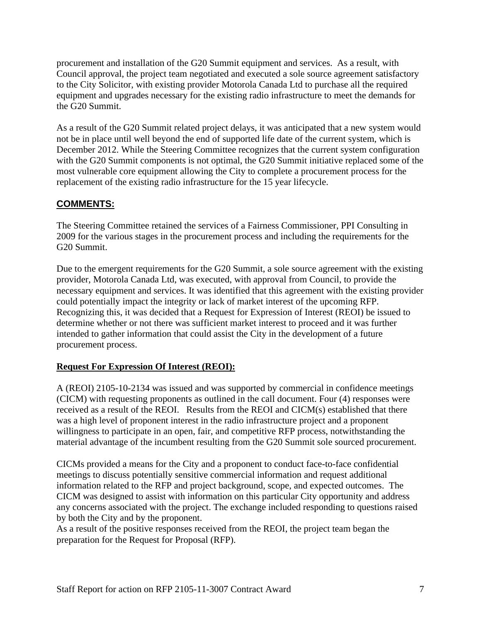procurement and installation of the G20 Summit equipment and services. As a result, with Council approval, the project team negotiated and executed a sole source agreement satisfactory to the City Solicitor, with existing provider Motorola Canada Ltd to purchase all the required equipment and upgrades necessary for the existing radio infrastructure to meet the demands for the G20 Summit.

As a result of the G20 Summit related project delays, it was anticipated that a new system would not be in place until well beyond the end of supported life date of the current system, which is December 2012. While the Steering Committee recognizes that the current system configuration with the G20 Summit components is not optimal, the G20 Summit initiative replaced some of the most vulnerable core equipment allowing the City to complete a procurement process for the replacement of the existing radio infrastructure for the 15 year lifecycle.

#### **COMMENTS:**

The Steering Committee retained the services of a Fairness Commissioner, PPI Consulting in 2009 for the various stages in the procurement process and including the requirements for the G20 Summit.

Due to the emergent requirements for the G20 Summit, a sole source agreement with the existing provider, Motorola Canada Ltd, was executed, with approval from Council, to provide the necessary equipment and services. It was identified that this agreement with the existing provider could potentially impact the integrity or lack of market interest of the upcoming RFP. Recognizing this, it was decided that a Request for Expression of Interest (REOI) be issued to determine whether or not there was sufficient market interest to proceed and it was further intended to gather information that could assist the City in the development of a future procurement process.

#### **Request For Expression Of Interest (REOI):**

A (REOI) 2105-10-2134 was issued and was supported by commercial in confidence meetings (CICM) with requesting proponents as outlined in the call document. Four (4) responses were received as a result of the REOI. Results from the REOI and CICM(s) established that there was a high level of proponent interest in the radio infrastructure project and a proponent willingness to participate in an open, fair, and competitive RFP process, notwithstanding the material advantage of the incumbent resulting from the G20 Summit sole sourced procurement.

CICMs provided a means for the City and a proponent to conduct face-to-face confidential meetings to discuss potentially sensitive commercial information and request additional information related to the RFP and project background, scope, and expected outcomes. The CICM was designed to assist with information on this particular City opportunity and address any concerns associated with the project. The exchange included responding to questions raised by both the City and by the proponent. As a result of the positive responses received from the REOI, the project team began the

preparation for the Request for Proposal (RFP).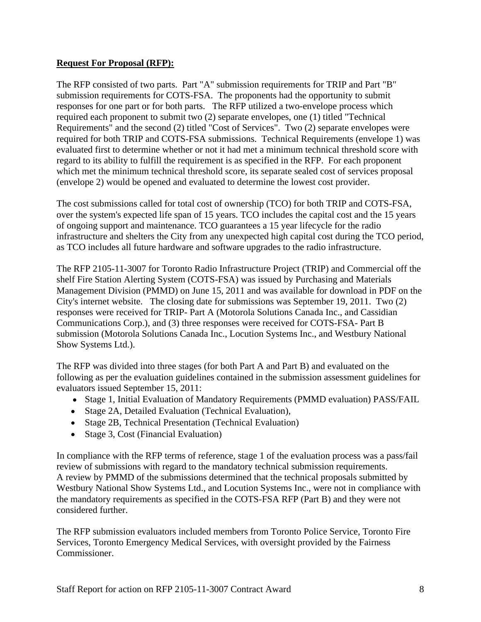#### **Request For Proposal (RFP):**

The RFP consisted of two parts. Part "A" submission requirements for TRIP and Part "B" submission requirements for COTS-FSA. The proponents had the opportunity to submit responses for one part or for both parts. The RFP utilized a two-envelope process which required each proponent to submit two (2) separate envelopes, one (1) titled "Technical Requirements" and the second (2) titled "Cost of Services". Two (2) separate envelopes were required for both TRIP and COTS-FSA submissions. Technical Requirements (envelope 1) was evaluated first to determine whether or not it had met a minimum technical threshold score with regard to its ability to fulfill the requirement is as specified in the RFP. For each proponent which met the minimum technical threshold score, its separate sealed cost of services proposal (envelope 2) would be opened and evaluated to determine the lowest cost provider.

The cost submissions called for total cost of ownership (TCO) for both TRIP and COTS-FSA, over the system's expected life span of 15 years. TCO includes the capital cost and the 15 years of ongoing support and maintenance. TCO guarantees a 15 year lifecycle for the radio infrastructure and shelters the City from any unexpected high capital cost during the TCO period, as TCO includes all future hardware and software upgrades to the radio infrastructure.

The RFP 2105-11-3007 for Toronto Radio Infrastructure Project (TRIP) and Commercial off the shelf Fire Station Alerting System (COTS-FSA) was issued by Purchasing and Materials Management Division (PMMD) on June 15, 2011 and was available for download in PDF on the City's internet website. The closing date for submissions was September 19, 2011. Two (2) responses were received for TRIP- Part A (Motorola Solutions Canada Inc., and Cassidian Communications Corp.), and (3) three responses were received for COTS-FSA- Part B submission (Motorola Solutions Canada Inc., Locution Systems Inc., and Westbury National Show Systems Ltd.).

The RFP was divided into three stages (for both Part A and Part B) and evaluated on the following as per the evaluation guidelines contained in the submission assessment guidelines for evaluators issued September 15, 2011:

- Stage 1, Initial Evaluation of Mandatory Requirements (PMMD evaluation) PASS/FAIL
- 
- Stage 2A, Detailed Evaluation (Technical Evaluation),<br>• Stage 2B, Technical Presentation (Technical Evaluation)
- Stage 3, Cost (Financial Evaluation)

In compliance with the RFP terms of reference, stage 1 of the evaluation process was a pass/fail review of submissions with regard to the mandatory technical submission requirements. A review by PMMD of the submissions determined that the technical proposals submitted by Westbury National Show Systems Ltd., and Locution Systems Inc., were not in compliance with the mandatory requirements as specified in the COTS-FSA RFP (Part B) and they were not considered further.

The RFP submission evaluators included members from Toronto Police Service, Toronto Fire Services, Toronto Emergency Medical Services, with oversight provided by the Fairness Commissioner.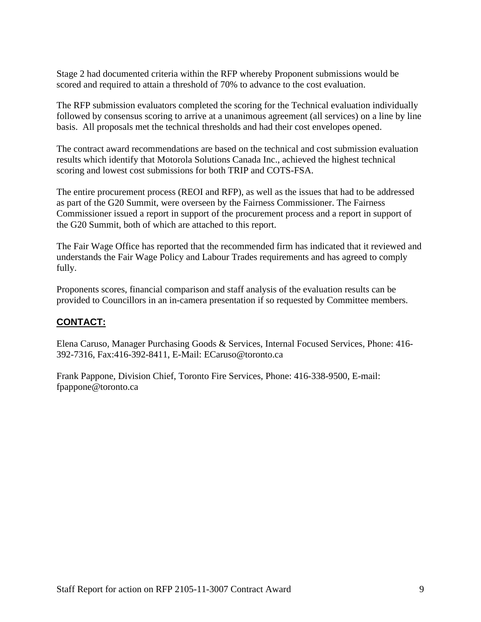Stage 2 had documented criteria within the RFP whereby Proponent submissions would be scored and required to attain a threshold of 70% to advance to the cost evaluation.

The RFP submission evaluators completed the scoring for the Technical evaluation individually followed by consensus scoring to arrive at a unanimous agreement (all services) on a line by line basis. All proposals met the technical thresholds and had their cost envelopes opened.

The contract award recommendations are based on the technical and cost submission evaluation results which identify that Motorola Solutions Canada Inc., achieved the highest technical scoring and lowest cost submissions for both TRIP and COTS-FSA.

The entire procurement process (REOI and RFP), as well as the issues that had to be addressed as part of the G20 Summit, were overseen by the Fairness Commissioner. The Fairness Commissioner issued a report in support of the procurement process and a report in support of the G20 Summit, both of which are attached to this report.

The Fair Wage Office has reported that the recommended firm has indicated that it reviewed and understands the Fair Wage Policy and Labour Trades requirements and has agreed to comply fully.

Proponents scores, financial comparison and staff analysis of the evaluation results can be provided to Councillors in an in-camera presentation if so requested by Committee members.

#### **CONTACT:**

Elena Caruso, Manager Purchasing Goods & Services, Internal Focused Services, Phone: 416- 392-7316, Fax:416-392-8411, E-Mail: ECaruso@toronto.ca

Frank Pappone, Division Chief, Toronto Fire Services, Phone: 416-338-9500, E-mail: fpappone@toronto.ca